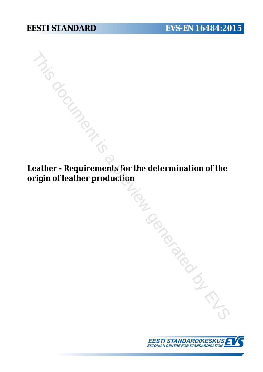**Leather - Requirements for the determination of the origin of leather production**  $\frac{M_{\odot}}{M_{\odot}}$ <br>eather - Requirements for the determination of the<br>rigin of leather production<br> $M_{\odot}$ 

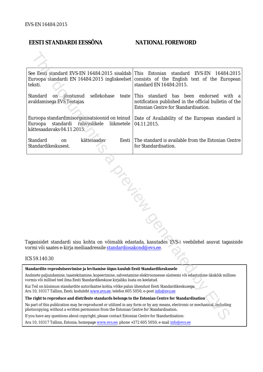# **EESTI STANDARDI EESSÕNA NATIONAL FOREWORD**

|                                                                                                                                                                                                              | See Eesti standard EVS-EN 16484:2015 sisaldab This Estonian<br>teksti.                                                                                                                                                 | standard<br>EVS-EN<br>16484:2015<br>Euroopa standardi EN 16484:2015 ingliskeelset consists of the English text of the European<br>standard EN 16484:2015. |
|--------------------------------------------------------------------------------------------------------------------------------------------------------------------------------------------------------------|------------------------------------------------------------------------------------------------------------------------------------------------------------------------------------------------------------------------|-----------------------------------------------------------------------------------------------------------------------------------------------------------|
|                                                                                                                                                                                                              | sellekohase<br>Standard<br>on jõustunud<br>avaldamisega EVS Teatajas                                                                                                                                                   | teate This standard has been endorsed<br>with a<br>notification published in the official bulletin of the<br>Estonian Centre for Standardisation.         |
|                                                                                                                                                                                                              | Euroopa<br>standardi rahvuslikele<br>liikmetele<br>kättesaadavaks 04.11.2015.                                                                                                                                          | Euroopa standardimisorganisatsioonid on teinud   Date of Availability of the European standard is<br>04.11.2015.                                          |
|                                                                                                                                                                                                              | Standard<br>kättesaadav<br>Eesti<br>on<br>Standardikeskusest.                                                                                                                                                          | The standard is available from the Estonian Centre<br>for Standardisation.                                                                                |
| Tagasisidet standardi sisu kohta on võimalik edastada, kasutades EVS-i veebilehel asuvat tagasiside<br>vormi või saates e-kirja meiliaadressile standardiosakond@evs.ee.<br>ICS 59.140.30                    |                                                                                                                                                                                                                        |                                                                                                                                                           |
|                                                                                                                                                                                                              |                                                                                                                                                                                                                        |                                                                                                                                                           |
|                                                                                                                                                                                                              | Standardite reprodutseerimise ja levitamise õigus kuulub Eesti Standardikeskusele                                                                                                                                      |                                                                                                                                                           |
| Andmete paljundamine, taastekitamine, kopeerimine, salvestamine elektroonsesse süsteemi või edastamine ükskõik millises<br>vormis või millisel teel ilma Eesti Standardikeskuse kirjaliku loata on keelatud. |                                                                                                                                                                                                                        |                                                                                                                                                           |
|                                                                                                                                                                                                              | Kui Teil on küsimusi standardite autorikaitse kohta, võtke palun ühendust Eesti Standardikeskusega:<br>Aru 10, 10317 Tallinn, Eesti; koduleht www.evs.ee; telefon 605 5050; e-post info@evs.ee                         |                                                                                                                                                           |
|                                                                                                                                                                                                              | The right to reproduce and distribute standards belongs to the Estonian Centre for Standardisation                                                                                                                     |                                                                                                                                                           |
|                                                                                                                                                                                                              | No part of this publication may be reproduced or utilized in any form or by any means, electronic or mechanical, including<br>ohotocopying, without a written permission from the Estonian Centre for Standardisation. |                                                                                                                                                           |
|                                                                                                                                                                                                              | If you have any questions about copyright, please contact Estonian Centre for Standardisation:                                                                                                                         |                                                                                                                                                           |
|                                                                                                                                                                                                              |                                                                                                                                                                                                                        |                                                                                                                                                           |

#### ICS 59.140.30

Aru 10, 10317 Tallinn, Estonia; homepage [www.evs.ee](http://www.evs.ee/); phone +372 605 5050; e-mail info@evs.ee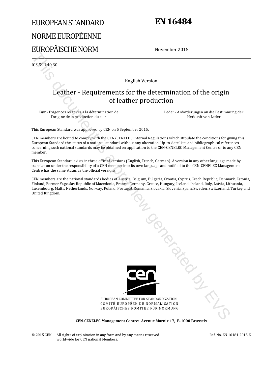# EUROPEAN STANDARD NORME EUROPÉENNE EUROPÄISCHE NORM

# **EN 16484**

November 2015

ICS 59.140.30

English Version

# Leather - Requirements for the determination of the origin of leather production

Cuir - Exigences relatives à la détermination de l'origine de la production du cuir

 Leder - Anforderungen an die Bestimmung der Herkunft von Leder

This European Standard was approved by CEN on 5 September 2015.

CEN members are bound to comply with the CEN/CENELEC Internal Regulations which stipulate the conditions for giving this European Standard the status of a national standard without any alteration. Up-to-date lists and bibliographical references concerning such national standards may be obtained on application to the CEN-CENELEC Management Centre or to any CEN member.

This European Standard exists in three official versions (English, French, German). A version in any other language made by translation under the responsibility of a CEN member into its own language and notified to the CEN-CENELEC Management Centre has the same status as the official versions.

CEN members are the national standards bodies of Austria, Belgium, Bulgaria, Croatia, Cyprus, Czech Republic, Denmark, Estonia, Finland, Former Yugoslav Republic of Macedonia, France, Germany, Greece, Hungary, Iceland, Ireland, Italy, Latvia, Lithuania, Luxembourg, Malta, Netherlands, Norway, Poland, Portugal, Romania, Slovakia, Slovenia, Spain, Sweden, Switzerland, Turkey and United Kingdom.



EUROPEAN COMMITTEE FOR STANDARDIZATION COMITÉ EUROPÉEN DE NORMALISATION EUROPÄISCHES KOMITEE FÜR NORMUNG

**CEN-CENELEC Management Centre: Avenue Marnix 17, B-1000 Brussels**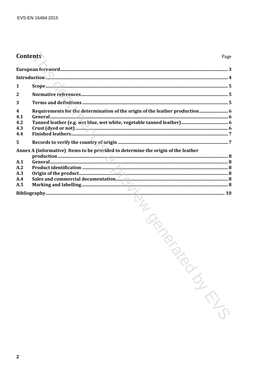# **Contents**

|              | Introduction <b>All Communication and Construction</b> and Construction and Construction and Construction and Construction and Construction and Construction and Construction and Construction and Construction and Construction an |  |
|--------------|-------------------------------------------------------------------------------------------------------------------------------------------------------------------------------------------------------------------------------------|--|
| 1            |                                                                                                                                                                                                                                     |  |
| $\mathbf{2}$ |                                                                                                                                                                                                                                     |  |
| 3            |                                                                                                                                                                                                                                     |  |
| 4            |                                                                                                                                                                                                                                     |  |
| 4.1<br>4.2   |                                                                                                                                                                                                                                     |  |
| 4.3          |                                                                                                                                                                                                                                     |  |
| 4.4          |                                                                                                                                                                                                                                     |  |
| 5            |                                                                                                                                                                                                                                     |  |
|              | Annex A (informative) Items to be provided to determine the origin of the leather                                                                                                                                                   |  |
| A.1          |                                                                                                                                                                                                                                     |  |
| A.2          |                                                                                                                                                                                                                                     |  |
| A.3<br>A.4   |                                                                                                                                                                                                                                     |  |
|              |                                                                                                                                                                                                                                     |  |
|              |                                                                                                                                                                                                                                     |  |
|              | NON DISCOVER                                                                                                                                                                                                                        |  |
|              |                                                                                                                                                                                                                                     |  |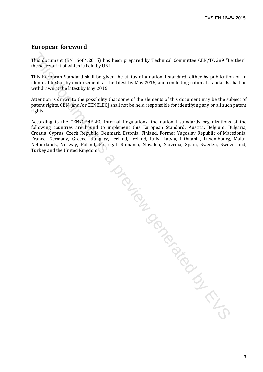# **European foreword**

This document (EN 16484:2015) has been prepared by Technical Committee CEN/TC 289 "Leather", the secretariat of which is held by UNI.

This European Standard shall be given the status of a national standard, either by publication of an identical text or by endorsement, at the latest by May 2016, and conflicting national standards shall be withdrawn at the latest by May 2016.

Attention is drawn to the possibility that some of the elements of this document may be the subject of patent rights. CEN [and/or CENELEC] shall not be held responsible for identifying any or all such patent rights.

According to the CEN/CENELEC Internal Regulations, the national standards organizations of the following countries are bound to implement this European Standard: Austria, Belgium, Bulgaria, Croatia, Cyprus, Czech Republic, Denmark, Estonia, Finland, Former Yugoslav Republic of Macedonia, France, Germany, Greece, Hungary, Iceland, Ireland, Italy, Latvia, Lithuania, Luxembourg, Malta, Netherlands, Norway, Poland, Portugal, Romania, Slovakia, Slovenia, Spain, Sweden, Switzerland, Turkey and the United Kingdom.

| This document (EN 16484:2015) has been prepared by Technical Committee CEN/TC 289 "Lo<br>the secretariat of which is held by UNI.                                                                                                                                                                                                                                                                                                                                                                                              |
|--------------------------------------------------------------------------------------------------------------------------------------------------------------------------------------------------------------------------------------------------------------------------------------------------------------------------------------------------------------------------------------------------------------------------------------------------------------------------------------------------------------------------------|
| This European Standard shall be given the status of a national standard, either by publicatio<br>identical text or by endorsement, at the latest by May 2016, and conflicting national standards :<br>withdrawn at the latest by May 2016.                                                                                                                                                                                                                                                                                     |
| Attention is drawn to the possibility that some of the elements of this document may be the su<br>patent rights. CEN [and/or CENELEC] shall not be held responsible for identifying any or all such<br>rights.                                                                                                                                                                                                                                                                                                                 |
| According to the CEN/CENELEC Internal Regulations, the national standards organizations<br>following countries are bound to implement this European Standard: Austria, Belgium, B<br>Croatia, Cyprus, Czech Republic, Denmark, Estonia, Finland, Former Yugoslav Republic of Mac<br>France, Germany, Greece, Hungary, Iceland, Ireland, Italy, Latvia, Lithuania, Luxembourg,<br>Netherlands, Norway, Poland, Portugal, Romania, Slovakia, Slovenia, Spain, Sweden, Switz<br>Turkey and the United Kingdom.<br><b>POLICING</b> |
|                                                                                                                                                                                                                                                                                                                                                                                                                                                                                                                                |
|                                                                                                                                                                                                                                                                                                                                                                                                                                                                                                                                |
|                                                                                                                                                                                                                                                                                                                                                                                                                                                                                                                                |
|                                                                                                                                                                                                                                                                                                                                                                                                                                                                                                                                |
|                                                                                                                                                                                                                                                                                                                                                                                                                                                                                                                                |
|                                                                                                                                                                                                                                                                                                                                                                                                                                                                                                                                |
|                                                                                                                                                                                                                                                                                                                                                                                                                                                                                                                                |
|                                                                                                                                                                                                                                                                                                                                                                                                                                                                                                                                |
|                                                                                                                                                                                                                                                                                                                                                                                                                                                                                                                                |
|                                                                                                                                                                                                                                                                                                                                                                                                                                                                                                                                |
|                                                                                                                                                                                                                                                                                                                                                                                                                                                                                                                                |
|                                                                                                                                                                                                                                                                                                                                                                                                                                                                                                                                |
|                                                                                                                                                                                                                                                                                                                                                                                                                                                                                                                                |
|                                                                                                                                                                                                                                                                                                                                                                                                                                                                                                                                |
|                                                                                                                                                                                                                                                                                                                                                                                                                                                                                                                                |
|                                                                                                                                                                                                                                                                                                                                                                                                                                                                                                                                |
|                                                                                                                                                                                                                                                                                                                                                                                                                                                                                                                                |
|                                                                                                                                                                                                                                                                                                                                                                                                                                                                                                                                |
|                                                                                                                                                                                                                                                                                                                                                                                                                                                                                                                                |
|                                                                                                                                                                                                                                                                                                                                                                                                                                                                                                                                |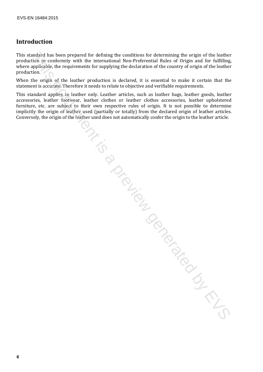# **Introduction**

This standard has been prepared for defining the conditions for determining the origin of the leather production in conformity with the international Non-Preferential Rules of Origin and for fulfilling, where applicable, the requirements for supplying the declaration of the country of origin of the leather production.

When the origin of the leather production is declared, it is essential to make it certain that the statement is accurate. Therefore it needs to relate to objective and verifiable requirements.

This standard applies to leather only. Leather articles, such as leather bags, leather goods, leather accessories, leather footwear, leather clothes or leather clothes accessories, leather upholstered accessories, leather footwear, leather clothes or leather clothes accessories, leather upholstered furniture, etc. are subject to their own respective rules of origin. It is not possible to determine implicitly the origin of leather used (partially or totally) from the declared origin of leather articles. Conversely, the origin of the leather used does not automatically confer the origin to the leather article. andaby lass become prepared for defining the conditions for determining the conditions of the beather of the controlling the state of the properties of the properties and the functions of the controlling the definition of